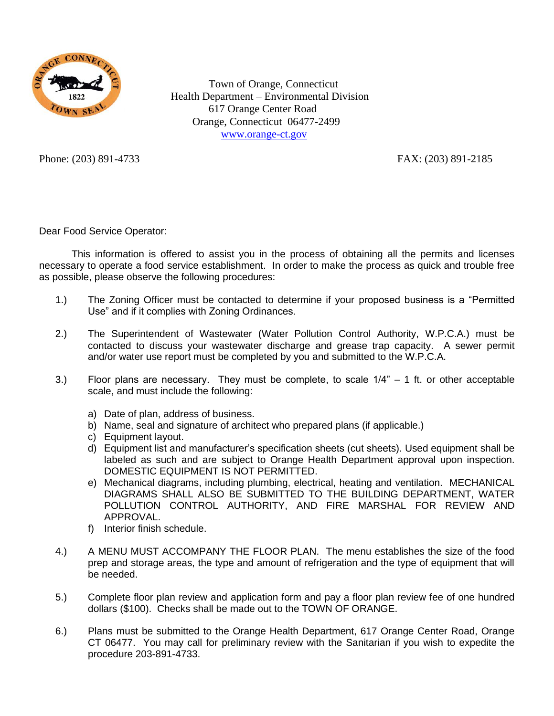

 Town of Orange, Connecticut Health Department – Environmental Division 617 Orange Center Road Orange, Connecticut 06477-2499 [www.orange-ct.gov](http://www.orange-ct.gov/)

Phone: (203) 891-4733 FAX: (203) 891-2185

Dear Food Service Operator:

This information is offered to assist you in the process of obtaining all the permits and licenses necessary to operate a food service establishment. In order to make the process as quick and trouble free as possible, please observe the following procedures:

- 1.) The Zoning Officer must be contacted to determine if your proposed business is a "Permitted Use" and if it complies with Zoning Ordinances.
- 2.) The Superintendent of Wastewater (Water Pollution Control Authority, W.P.C.A.) must be contacted to discuss your wastewater discharge and grease trap capacity. A sewer permit and/or water use report must be completed by you and submitted to the W.P.C.A.
- 3.) Floor plans are necessary. They must be complete, to scale  $1/4" 1$  ft. or other acceptable scale, and must include the following:
	- a) Date of plan, address of business.
	- b) Name, seal and signature of architect who prepared plans (if applicable.)
	- c) Equipment layout.
	- d) Equipment list and manufacturer's specification sheets (cut sheets). Used equipment shall be labeled as such and are subject to Orange Health Department approval upon inspection. DOMESTIC EQUIPMENT IS NOT PERMITTED.
	- e) Mechanical diagrams, including plumbing, electrical, heating and ventilation. MECHANICAL DIAGRAMS SHALL ALSO BE SUBMITTED TO THE BUILDING DEPARTMENT, WATER POLLUTION CONTROL AUTHORITY, AND FIRE MARSHAL FOR REVIEW AND APPROVAL.
	- f) Interior finish schedule.
- 4.) A MENU MUST ACCOMPANY THE FLOOR PLAN. The menu establishes the size of the food prep and storage areas, the type and amount of refrigeration and the type of equipment that will be needed.
- 5.) Complete floor plan review and application form and pay a floor plan review fee of one hundred dollars (\$100). Checks shall be made out to the TOWN OF ORANGE.
- 6.) Plans must be submitted to the Orange Health Department, 617 Orange Center Road, Orange CT 06477. You may call for preliminary review with the Sanitarian if you wish to expedite the procedure 203-891-4733.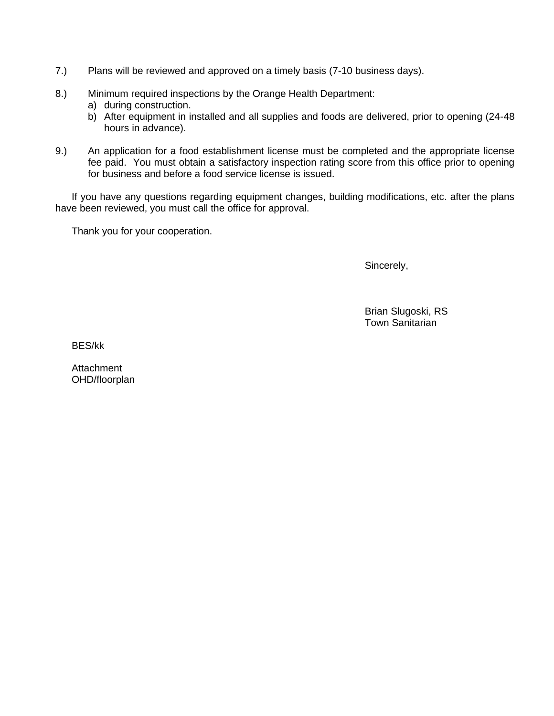- 7.) Plans will be reviewed and approved on a timely basis (7-10 business days).
- 8.) Minimum required inspections by the Orange Health Department:
	- a) during construction.
	- b) After equipment in installed and all supplies and foods are delivered, prior to opening (24-48 hours in advance).
- 9.) An application for a food establishment license must be completed and the appropriate license fee paid. You must obtain a satisfactory inspection rating score from this office prior to opening for business and before a food service license is issued.

If you have any questions regarding equipment changes, building modifications, etc. after the plans have been reviewed, you must call the office for approval.

Thank you for your cooperation.

Sincerely,

Brian Slugoski, RS Town Sanitarian

BES/kk

**Attachment** OHD/floorplan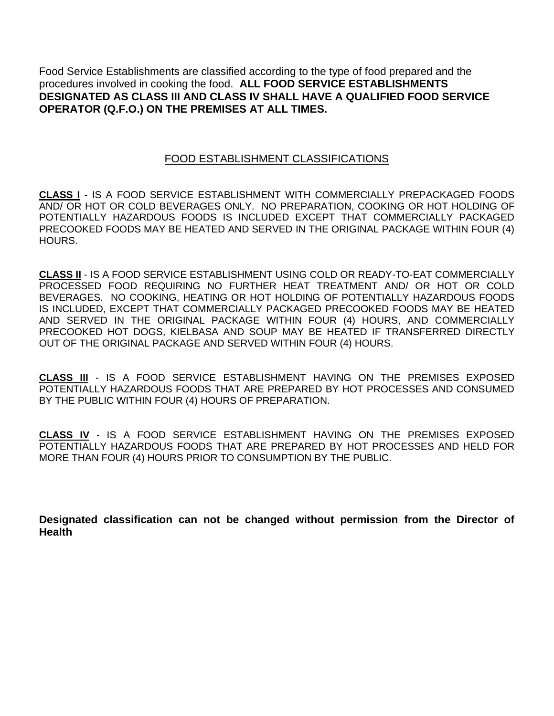Food Service Establishments are classified according to the type of food prepared and the procedures involved in cooking the food. **ALL FOOD SERVICE ESTABLISHMENTS DESIGNATED AS CLASS III AND CLASS IV SHALL HAVE A QUALIFIED FOOD SERVICE OPERATOR (Q.F.O.) ON THE PREMISES AT ALL TIMES.**

## FOOD ESTABLISHMENT CLASSIFICATIONS

**CLASS I** - IS A FOOD SERVICE ESTABLISHMENT WITH COMMERCIALLY PREPACKAGED FOODS AND/ OR HOT OR COLD BEVERAGES ONLY. NO PREPARATION, COOKING OR HOT HOLDING OF POTENTIALLY HAZARDOUS FOODS IS INCLUDED EXCEPT THAT COMMERCIALLY PACKAGED PRECOOKED FOODS MAY BE HEATED AND SERVED IN THE ORIGINAL PACKAGE WITHIN FOUR (4) HOURS.

**CLASS II** - IS A FOOD SERVICE ESTABLISHMENT USING COLD OR READY-TO-EAT COMMERCIALLY PROCESSED FOOD REQUIRING NO FURTHER HEAT TREATMENT AND/ OR HOT OR COLD BEVERAGES. NO COOKING, HEATING OR HOT HOLDING OF POTENTIALLY HAZARDOUS FOODS IS INCLUDED, EXCEPT THAT COMMERCIALLY PACKAGED PRECOOKED FOODS MAY BE HEATED AND SERVED IN THE ORIGINAL PACKAGE WITHIN FOUR (4) HOURS, AND COMMERCIALLY PRECOOKED HOT DOGS, KIELBASA AND SOUP MAY BE HEATED IF TRANSFERRED DIRECTLY OUT OF THE ORIGINAL PACKAGE AND SERVED WITHIN FOUR (4) HOURS.

**CLASS III** - IS A FOOD SERVICE ESTABLISHMENT HAVING ON THE PREMISES EXPOSED POTENTIALLY HAZARDOUS FOODS THAT ARE PREPARED BY HOT PROCESSES AND CONSUMED BY THE PUBLIC WITHIN FOUR (4) HOURS OF PREPARATION.

**CLASS IV** - IS A FOOD SERVICE ESTABLISHMENT HAVING ON THE PREMISES EXPOSED POTENTIALLY HAZARDOUS FOODS THAT ARE PREPARED BY HOT PROCESSES AND HELD FOR MORE THAN FOUR (4) HOURS PRIOR TO CONSUMPTION BY THE PUBLIC.

**Designated classification can not be changed without permission from the Director of Health**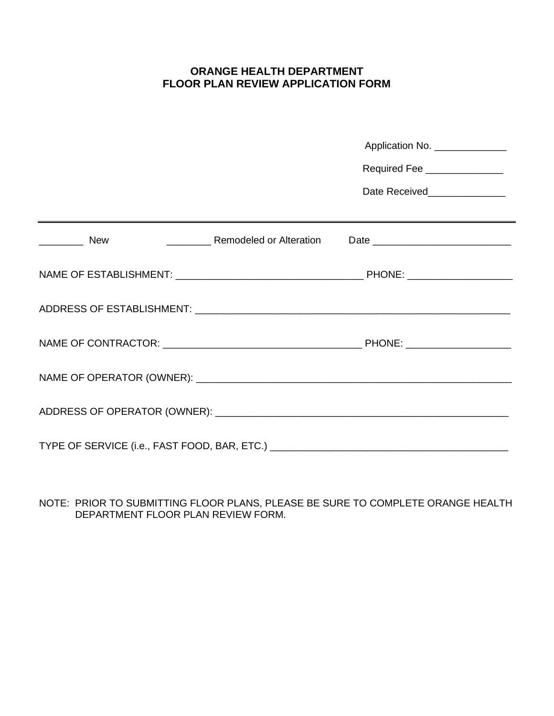# **ORANGE HEALTH DEPARTMENT FLOOR PLAN REVIEW APPLICATION FORM**

|                                                                | Application No. _______________ |
|----------------------------------------------------------------|---------------------------------|
|                                                                | Required Fee ______________     |
|                                                                | Date Received_______________    |
|                                                                |                                 |
| $\frac{1}{2}$ New<br><b>Example 10 Remodeled or Alteration</b> |                                 |
|                                                                |                                 |
|                                                                |                                 |
|                                                                |                                 |
|                                                                |                                 |
|                                                                |                                 |
|                                                                |                                 |

NOTE: PRIOR TO SUBMITTING FLOOR PLANS, PLEASE BE SURE TO COMPLETE ORANGE HEALTH DEPARTMENT FLOOR PLAN REVIEW FORM.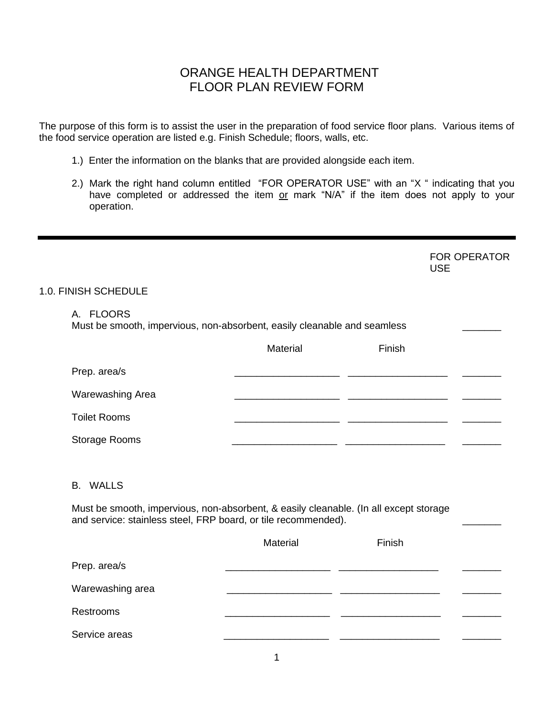The purpose of this form is to assist the user in the preparation of food service floor plans. Various items of the food service operation are listed e.g. Finish Schedule; floors, walls, etc.

- 1.) Enter the information on the blanks that are provided alongside each item.
- 2.) Mark the right hand column entitled "FOR OPERATOR USE" with an "X " indicating that you have completed or addressed the item or mark "N/A" if the item does not apply to your operation.

FOR OPERATOR USE

## 1.0. FINISH SCHEDULE

## A. FLOORS

Must be smooth, impervious, non-absorbent, easily cleanable and seamless

|                      | Material | Finish |  |
|----------------------|----------|--------|--|
| Prep. area/s         |          |        |  |
| Warewashing Area     |          |        |  |
| <b>Toilet Rooms</b>  |          |        |  |
| <b>Storage Rooms</b> |          |        |  |

#### B. WALLS

 Must be smooth, impervious, non-absorbent, & easily cleanable. (In all except storage and service: stainless steel, FRP board, or tile recommended).

|                  | Material | Finish |  |
|------------------|----------|--------|--|
| Prep. area/s     |          |        |  |
| Warewashing area |          |        |  |
| Restrooms        |          |        |  |
| Service areas    |          |        |  |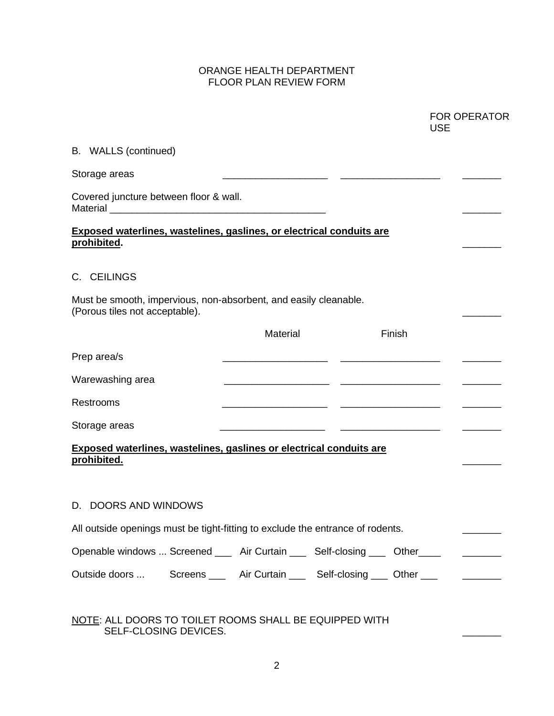|                                                                                                    |          | <b>FOR OPERATOR</b><br><b>USE</b> |                                              |
|----------------------------------------------------------------------------------------------------|----------|-----------------------------------|----------------------------------------------|
| B. WALLS (continued)                                                                               |          |                                   |                                              |
| Storage areas                                                                                      |          |                                   |                                              |
| Covered juncture between floor & wall.                                                             |          |                                   |                                              |
| Exposed waterlines, wastelines, gaslines, or electrical conduits are<br>prohibited.                |          |                                   |                                              |
| C. CEILINGS                                                                                        |          |                                   |                                              |
| Must be smooth, impervious, non-absorbent, and easily cleanable.<br>(Porous tiles not acceptable). |          |                                   |                                              |
|                                                                                                    | Material | Finish                            |                                              |
| Prep area/s                                                                                        |          |                                   |                                              |
| Warewashing area                                                                                   |          |                                   |                                              |
| Restrooms                                                                                          |          |                                   |                                              |
| Storage areas                                                                                      |          |                                   |                                              |
| Exposed waterlines, wastelines, gaslines or electrical conduits are<br>prohibited.                 |          |                                   |                                              |
| D. DOORS AND WINDOWS                                                                               |          |                                   |                                              |
| All outside openings must be tight-fitting to exclude the entrance of rodents.                     |          |                                   |                                              |
|                                                                                                    |          |                                   |                                              |
| Openable windows  Screened _____ Air Curtain _____ Self-closing ____ Other ____                    |          |                                   | <u> 1986 - Jan Barbarat, politik eta pro</u> |

## NOTE: ALL DOORS TO TOILET ROOMS SHALL BE EQUIPPED WITH SELF-CLOSING DEVICES.  $\hfill \square$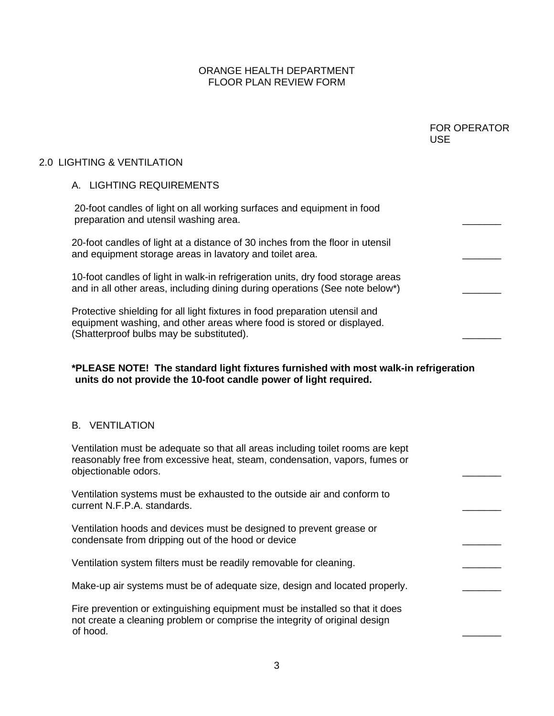|                                                                                                                                                                                                  | <b>FOR OPERATOR</b><br><b>USE</b> |
|--------------------------------------------------------------------------------------------------------------------------------------------------------------------------------------------------|-----------------------------------|
| 2.0 LIGHTING & VENTILATION                                                                                                                                                                       |                                   |
| A. LIGHTING REQUIREMENTS                                                                                                                                                                         |                                   |
| 20-foot candles of light on all working surfaces and equipment in food<br>preparation and utensil washing area.                                                                                  |                                   |
| 20-foot candles of light at a distance of 30 inches from the floor in utensil<br>and equipment storage areas in lavatory and toilet area.                                                        |                                   |
| 10-foot candles of light in walk-in refrigeration units, dry food storage areas<br>and in all other areas, including dining during operations (See note below*)                                  |                                   |
| Protective shielding for all light fixtures in food preparation utensil and<br>equipment washing, and other areas where food is stored or displayed.<br>(Shatterproof bulbs may be substituted). |                                   |
| *PLEASE NOTE! The standard light fixtures furnished with most walk-in refrigeration<br>units do not provide the 10-foot candle power of light required.                                          |                                   |
| <b>B. VENTILATION</b>                                                                                                                                                                            |                                   |
| Ventilation must be adequate so that all areas including toilet rooms are kept<br>reasonably free from excessive heat, steam, condensation, vapors, fumes or<br>objectionable odors.             |                                   |
| Ventilation systems must be exhausted to the outside air and conform to<br>current N.F.P.A. standards.                                                                                           |                                   |
| Ventilation hoods and devices must be designed to prevent grease or<br>condensate from dripping out of the hood or device                                                                        |                                   |
| Ventilation system filters must be readily removable for cleaning.                                                                                                                               |                                   |
| Make-up air systems must be of adequate size, design and located properly.                                                                                                                       |                                   |
| Fire prevention or extinguishing equipment must be installed so that it does<br>not create a cleaning problem or comprise the integrity of original design<br>of hood.                           |                                   |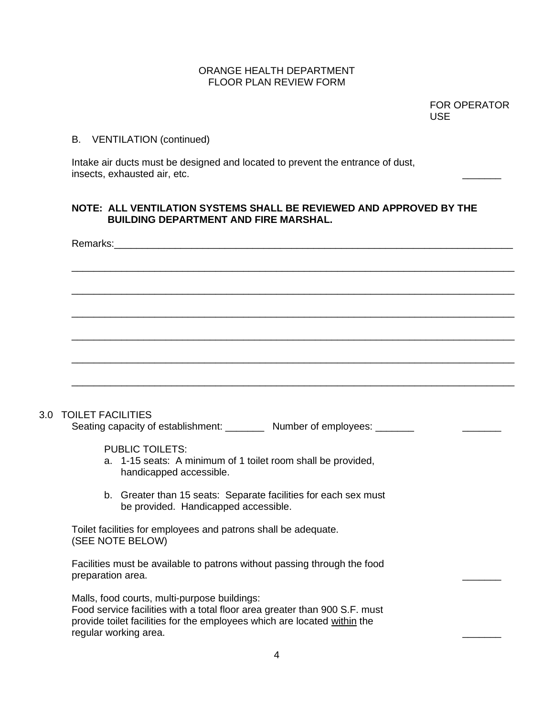FOR OPERATOR USE

#### B. VENTILATION (continued)

Intake air ducts must be designed and located to prevent the entrance of dust, insects, exhausted air, etc.

## **NOTE: ALL VENTILATION SYSTEMS SHALL BE REVIEWED AND APPROVED BY THE BUILDING DEPARTMENT AND FIRE MARSHAL.**

|     | Remarks: |                                                                                                                            |  |
|-----|----------|----------------------------------------------------------------------------------------------------------------------------|--|
|     |          |                                                                                                                            |  |
|     |          |                                                                                                                            |  |
|     |          |                                                                                                                            |  |
|     |          |                                                                                                                            |  |
|     |          |                                                                                                                            |  |
|     |          |                                                                                                                            |  |
|     |          |                                                                                                                            |  |
|     |          |                                                                                                                            |  |
|     |          |                                                                                                                            |  |
| 3.0 |          | <b>TOILET FACILITIES</b><br>Seating capacity of establishment: __________ Number of employees: _______                     |  |
|     |          |                                                                                                                            |  |
|     |          | <b>PUBLIC TOILETS:</b><br>a. 1-15 seats: A minimum of 1 toilet room shall be provided,<br>handicapped accessible.          |  |
|     |          | b. Greater than 15 seats: Separate facilities for each sex must<br>be provided. Handicapped accessible.                    |  |
|     |          |                                                                                                                            |  |
|     |          | Toilet facilities for employees and patrons shall be adequate.<br>(SEE NOTE BELOW)                                         |  |
|     |          |                                                                                                                            |  |
|     |          | Facilities must be available to patrons without passing through the food<br>preparation area.                              |  |
|     |          |                                                                                                                            |  |
|     |          | Malls, food courts, multi-purpose buildings:<br>Food service facilities with a total floor area greater than 900 S.F. must |  |
|     |          | provide toilet facilities for the employees which are located within the                                                   |  |
|     |          | regular working area.                                                                                                      |  |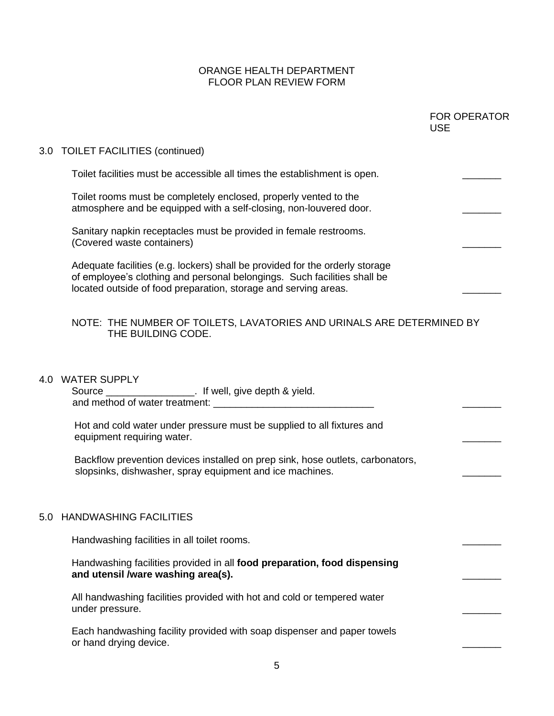| 3.0 TOILET FACILITIES (continued)<br>Toilet facilities must be accessible all times the establishment is open.<br>Toilet rooms must be completely enclosed, properly vented to the<br>atmosphere and be equipped with a self-closing, non-louvered door. |  |
|----------------------------------------------------------------------------------------------------------------------------------------------------------------------------------------------------------------------------------------------------------|--|
|                                                                                                                                                                                                                                                          |  |
|                                                                                                                                                                                                                                                          |  |
|                                                                                                                                                                                                                                                          |  |
| Sanitary napkin receptacles must be provided in female restrooms.<br>(Covered waste containers)                                                                                                                                                          |  |
| Adequate facilities (e.g. lockers) shall be provided for the orderly storage<br>of employee's clothing and personal belongings. Such facilities shall be<br>located outside of food preparation, storage and serving areas.                              |  |
| NOTE: THE NUMBER OF TOILETS, LAVATORIES AND URINALS ARE DETERMINED BY<br>THE BUILDING CODE.                                                                                                                                                              |  |
| <b>WATER SUPPLY</b><br>4.0                                                                                                                                                                                                                               |  |
| Hot and cold water under pressure must be supplied to all fixtures and<br>equipment requiring water.                                                                                                                                                     |  |
| Backflow prevention devices installed on prep sink, hose outlets, carbonators,<br>slopsinks, dishwasher, spray equipment and ice machines.                                                                                                               |  |
| <b>HANDWASHING FACILITIES</b><br>5.0                                                                                                                                                                                                                     |  |
| Handwashing facilities in all toilet rooms.                                                                                                                                                                                                              |  |
| Handwashing facilities provided in all food preparation, food dispensing<br>and utensil /ware washing area(s).                                                                                                                                           |  |
| All handwashing facilities provided with hot and cold or tempered water<br>under pressure.                                                                                                                                                               |  |
| Each handwashing facility provided with soap dispenser and paper towels<br>or hand drying device.                                                                                                                                                        |  |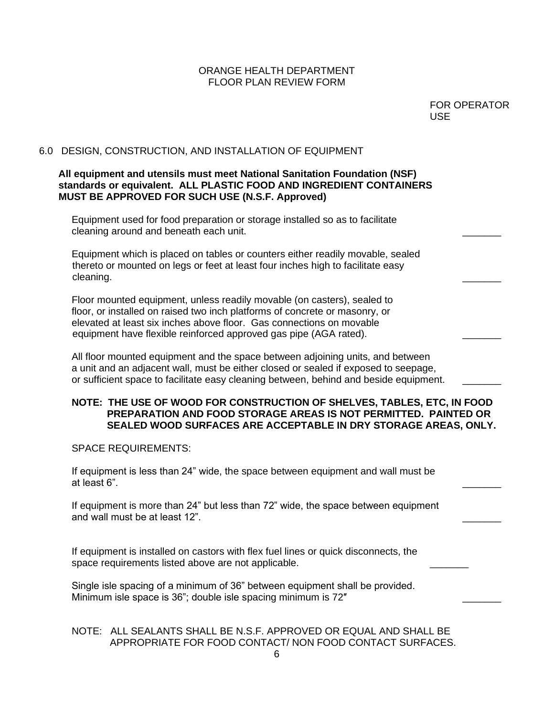| <b>FOR OPERATOR</b> |
|---------------------|
| <b>USE</b>          |

## 6.0 DESIGN, CONSTRUCTION, AND INSTALLATION OF EQUIPMENT

#### **All equipment and utensils must meet National Sanitation Foundation (NSF) standards or equivalent. ALL PLASTIC FOOD AND INGREDIENT CONTAINERS MUST BE APPROVED FOR SUCH USE (N.S.F. Approved)**

Equipment used for food preparation or storage installed so as to facilitate cleaning around and beneath each unit.

Equipment which is placed on tables or counters either readily movable, sealed thereto or mounted on legs or feet at least four inches high to facilitate easy cleaning. **Example 20** and 20 and 20 and 20 and 20 and 20 and 20 and 20 and 20 and 20 and 20 and 20 and 20 and 20 and 20 and 20 and 20 and 20 and 20 and 20 and 20 and 20 and 20 and 20 and 20 and 20 and 20 and 20 and 20 and

Floor mounted equipment, unless readily movable (on casters), sealed to floor, or installed on raised two inch platforms of concrete or masonry, or elevated at least six inches above floor. Gas connections on movable equipment have flexible reinforced approved gas pipe (AGA rated).

All floor mounted equipment and the space between adjoining units, and between a unit and an adjacent wall, must be either closed or sealed if exposed to seepage, or sufficient space to facilitate easy cleaning between, behind and beside equipment.

#### **NOTE: THE USE OF WOOD FOR CONSTRUCTION OF SHELVES, TABLES, ETC, IN FOOD PREPARATION AND FOOD STORAGE AREAS IS NOT PERMITTED. PAINTED OR SEALED WOOD SURFACES ARE ACCEPTABLE IN DRY STORAGE AREAS, ONLY.**

SPACE REQUIREMENTS:

If equipment is less than 24" wide, the space between equipment and wall must be at least 6". \_\_\_\_\_\_\_

If equipment is more than 24" but less than 72" wide, the space between equipment and wall must be at least 12".

If equipment is installed on castors with flex fuel lines or quick disconnects, the space requirements listed above are not applicable.

Single isle spacing of a minimum of 36" between equipment shall be provided. Minimum isle space is 36"; double isle spacing minimum is 72"

## NOTE: ALL SEALANTS SHALL BE N.S.F. APPROVED OR EQUAL AND SHALL BE APPROPRIATE FOR FOOD CONTACT/ NON FOOD CONTACT SURFACES.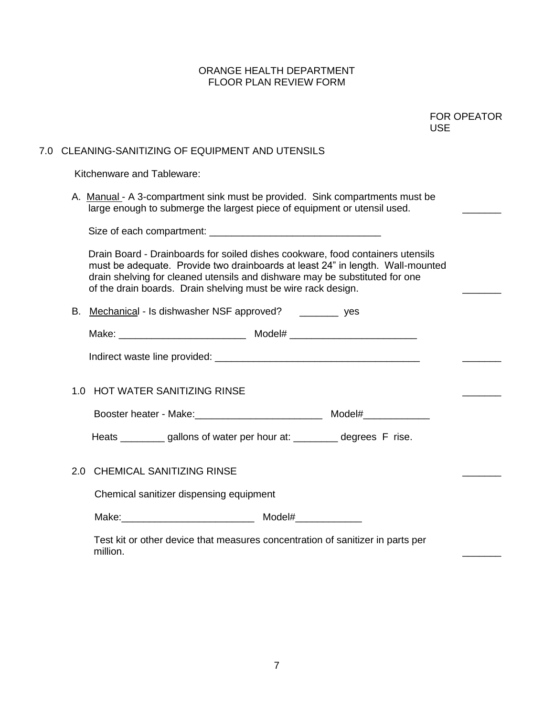|     | <b>USE</b>                                                                                                                                                                                                                                                                                                       | <b>FOR OPEATOR</b> |
|-----|------------------------------------------------------------------------------------------------------------------------------------------------------------------------------------------------------------------------------------------------------------------------------------------------------------------|--------------------|
| 7.0 | CLEANING-SANITIZING OF EQUIPMENT AND UTENSILS                                                                                                                                                                                                                                                                    |                    |
|     | Kitchenware and Tableware:                                                                                                                                                                                                                                                                                       |                    |
|     | A. Manual - A 3-compartment sink must be provided. Sink compartments must be<br>large enough to submerge the largest piece of equipment or utensil used.                                                                                                                                                         |                    |
|     |                                                                                                                                                                                                                                                                                                                  |                    |
|     | Drain Board - Drainboards for soiled dishes cookware, food containers utensils<br>must be adequate. Provide two drainboards at least 24" in length. Wall-mounted<br>drain shelving for cleaned utensils and dishware may be substituted for one<br>of the drain boards. Drain shelving must be wire rack design. |                    |
|     | B. Mechanical - Is dishwasher NSF approved? __________ yes                                                                                                                                                                                                                                                       |                    |
|     |                                                                                                                                                                                                                                                                                                                  |                    |
|     |                                                                                                                                                                                                                                                                                                                  |                    |
|     | 1.0 HOT WATER SANITIZING RINSE                                                                                                                                                                                                                                                                                   |                    |
|     | Booster heater - Make: Maker Maker Model# Model# Model Museum Model Museum Model #                                                                                                                                                                                                                               |                    |
|     | Heats _________ gallons of water per hour at: _________ degrees F rise.                                                                                                                                                                                                                                          |                    |
|     | 2.0 CHEMICAL SANITIZING RINSE                                                                                                                                                                                                                                                                                    |                    |
|     | Chemical sanitizer dispensing equipment                                                                                                                                                                                                                                                                          |                    |
|     |                                                                                                                                                                                                                                                                                                                  |                    |
|     | Test kit or other device that measures concentration of sanitizer in parts per<br>million.                                                                                                                                                                                                                       |                    |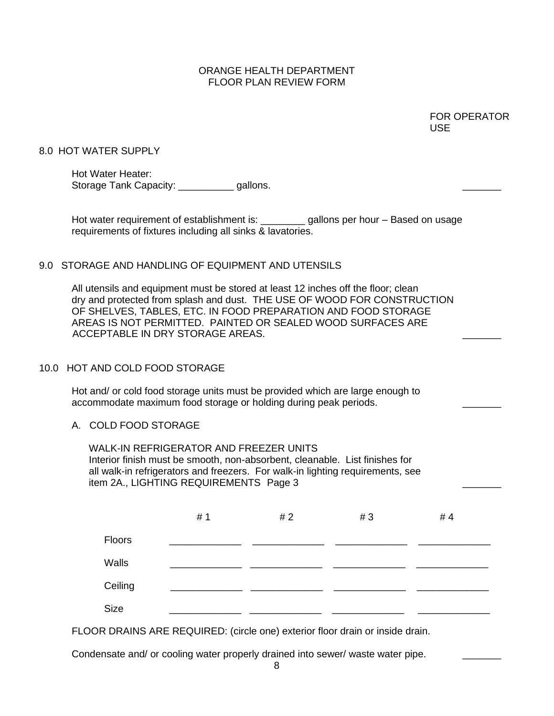|                                                                                                                                                                                                                                                          |                                                                                                                                                                                                                                                                                                                                   |     |     |    | <b>FOR OPERATOR</b><br><b>USE</b> |
|----------------------------------------------------------------------------------------------------------------------------------------------------------------------------------------------------------------------------------------------------------|-----------------------------------------------------------------------------------------------------------------------------------------------------------------------------------------------------------------------------------------------------------------------------------------------------------------------------------|-----|-----|----|-----------------------------------|
|                                                                                                                                                                                                                                                          | 8.0 HOT WATER SUPPLY                                                                                                                                                                                                                                                                                                              |     |     |    |                                   |
|                                                                                                                                                                                                                                                          | Hot Water Heater:<br>Storage Tank Capacity: _____________gallons.                                                                                                                                                                                                                                                                 |     |     |    |                                   |
|                                                                                                                                                                                                                                                          | Hot water requirement of establishment is: ________ gallons per hour - Based on usage<br>requirements of fixtures including all sinks & lavatories.                                                                                                                                                                               |     |     |    |                                   |
|                                                                                                                                                                                                                                                          | 9.0 STORAGE AND HANDLING OF EQUIPMENT AND UTENSILS                                                                                                                                                                                                                                                                                |     |     |    |                                   |
|                                                                                                                                                                                                                                                          | All utensils and equipment must be stored at least 12 inches off the floor; clean<br>dry and protected from splash and dust. THE USE OF WOOD FOR CONSTRUCTION<br>OF SHELVES, TABLES, ETC. IN FOOD PREPARATION AND FOOD STORAGE<br>AREAS IS NOT PERMITTED. PAINTED OR SEALED WOOD SURFACES ARE<br>ACCEPTABLE IN DRY STORAGE AREAS. |     |     |    |                                   |
|                                                                                                                                                                                                                                                          | 10.0 HOT AND COLD FOOD STORAGE                                                                                                                                                                                                                                                                                                    |     |     |    |                                   |
|                                                                                                                                                                                                                                                          | Hot and/ or cold food storage units must be provided which are large enough to<br>accommodate maximum food storage or holding during peak periods.                                                                                                                                                                                |     |     |    |                                   |
| A. COLD FOOD STORAGE                                                                                                                                                                                                                                     |                                                                                                                                                                                                                                                                                                                                   |     |     |    |                                   |
| <b>WALK-IN REFRIGERATOR AND FREEZER UNITS</b><br>Interior finish must be smooth, non-absorbent, cleanable. List finishes for<br>all walk-in refrigerators and freezers. For walk-in lighting requirements, see<br>item 2A., LIGHTING REQUIREMENTS Page 3 |                                                                                                                                                                                                                                                                                                                                   |     |     |    |                                   |
|                                                                                                                                                                                                                                                          |                                                                                                                                                                                                                                                                                                                                   | # 1 | # 2 | #3 | # 4                               |
|                                                                                                                                                                                                                                                          | Floors                                                                                                                                                                                                                                                                                                                            |     |     |    |                                   |
|                                                                                                                                                                                                                                                          | Walls                                                                                                                                                                                                                                                                                                                             |     |     |    |                                   |
|                                                                                                                                                                                                                                                          | Ceiling                                                                                                                                                                                                                                                                                                                           |     |     |    |                                   |
|                                                                                                                                                                                                                                                          | Size                                                                                                                                                                                                                                                                                                                              |     |     |    |                                   |
|                                                                                                                                                                                                                                                          | FLOOR DRAINS ARE REQUIRED: (circle one) exterior floor drain or inside drain.                                                                                                                                                                                                                                                     |     |     |    |                                   |

Condensate and/ or cooling water properly drained into sewer/ waste water pipe. \_\_\_\_\_\_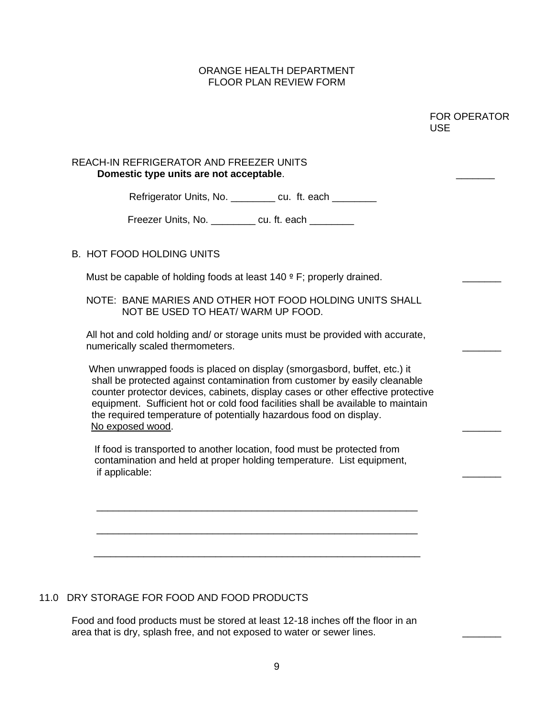|                                                                                                                                                                                                                                                                                                                                                                                                                          | <b>FOR OPERATOR</b><br><b>USE</b> |
|--------------------------------------------------------------------------------------------------------------------------------------------------------------------------------------------------------------------------------------------------------------------------------------------------------------------------------------------------------------------------------------------------------------------------|-----------------------------------|
| REACH-IN REFRIGERATOR AND FREEZER UNITS<br>Domestic type units are not acceptable.                                                                                                                                                                                                                                                                                                                                       |                                   |
| Refrigerator Units, No. _________ cu. ft. each ________                                                                                                                                                                                                                                                                                                                                                                  |                                   |
| Freezer Units, No. __________ cu. ft. each ________                                                                                                                                                                                                                                                                                                                                                                      |                                   |
| <b>B. HOT FOOD HOLDING UNITS</b>                                                                                                                                                                                                                                                                                                                                                                                         |                                   |
| Must be capable of holding foods at least $140 \circ F$ ; properly drained.                                                                                                                                                                                                                                                                                                                                              |                                   |
| NOTE: BANE MARIES AND OTHER HOT FOOD HOLDING UNITS SHALL<br>NOT BE USED TO HEAT/WARM UP FOOD.                                                                                                                                                                                                                                                                                                                            |                                   |
| All hot and cold holding and/ or storage units must be provided with accurate,<br>numerically scaled thermometers.                                                                                                                                                                                                                                                                                                       |                                   |
| When unwrapped foods is placed on display (smorgasbord, buffet, etc.) it<br>shall be protected against contamination from customer by easily cleanable<br>counter protector devices, cabinets, display cases or other effective protective<br>equipment. Sufficient hot or cold food facilities shall be available to maintain<br>the required temperature of potentially hazardous food on display.<br>No exposed wood. |                                   |
| If food is transported to another location, food must be protected from                                                                                                                                                                                                                                                                                                                                                  |                                   |

## 11.0 DRY STORAGE FOR FOOD AND FOOD PRODUCTS

Food and food products must be stored at least 12-18 inches off the floor in an area that is dry, splash free, and not exposed to water or sewer lines.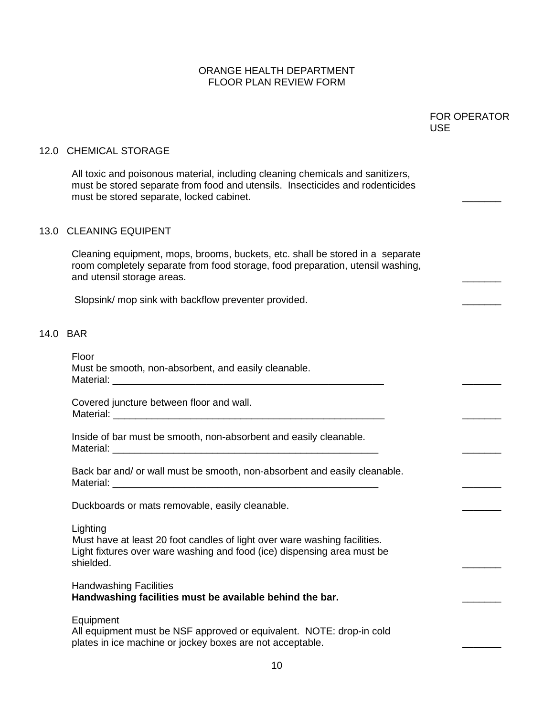|                                                                                                                                                                                                             | <b>FOR OPERATOR</b><br><b>USE</b> |
|-------------------------------------------------------------------------------------------------------------------------------------------------------------------------------------------------------------|-----------------------------------|
| 12.0 CHEMICAL STORAGE                                                                                                                                                                                       |                                   |
| All toxic and poisonous material, including cleaning chemicals and sanitizers,<br>must be stored separate from food and utensils. Insecticides and rodenticides<br>must be stored separate, locked cabinet. |                                   |
| 13.0 CLEANING EQUIPENT                                                                                                                                                                                      |                                   |
| Cleaning equipment, mops, brooms, buckets, etc. shall be stored in a separate<br>room completely separate from food storage, food preparation, utensil washing,<br>and utensil storage areas.               |                                   |
| Slopsink/ mop sink with backflow preventer provided.                                                                                                                                                        |                                   |
| 14.0 BAR                                                                                                                                                                                                    |                                   |
| Floor<br>Must be smooth, non-absorbent, and easily cleanable.                                                                                                                                               |                                   |
| Covered juncture between floor and wall.                                                                                                                                                                    |                                   |
| Inside of bar must be smooth, non-absorbent and easily cleanable.                                                                                                                                           |                                   |
| Back bar and/ or wall must be smooth, non-absorbent and easily cleanable.                                                                                                                                   |                                   |
| Duckboards or mats removable, easily cleanable.                                                                                                                                                             |                                   |
| Lighting<br>Must have at least 20 foot candles of light over ware washing facilities.<br>Light fixtures over ware washing and food (ice) dispensing area must be<br>shielded.                               |                                   |
| <b>Handwashing Facilities</b><br>Handwashing facilities must be available behind the bar.                                                                                                                   |                                   |
| Equipment<br>All equipment must be NSF approved or equivalent. NOTE: drop-in cold<br>plates in ice machine or jockey boxes are not acceptable.                                                              |                                   |
| 10                                                                                                                                                                                                          |                                   |